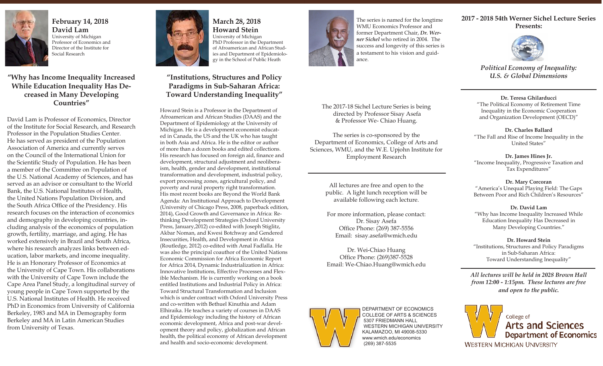

**February 14, 2018 David Lam** University of Michigan Professor of Economics and Director of the Institute for Social Research

**"Why has Income Inequality Increased While Education Inequality Has Decreased in Many Developing Countries"**

David Lam is Professor of Economics, Director of the Institute for Social Research, and Research Professor in the Population Studies Center. He has served as president of the Population Association of America and currently serves on the Council of the International Union for the Scientific Study of Population. He has been a member of the Committee on Population of the U.S. National Academy of Sciences, and has served as an advisor or consultant to the World Bank, the U.S. National Institutes of Health, the United Nations Population Division, and the South Africa Office of the Presidency. His research focuses on the interaction of economics and demography in developing countries, including analysis of the economics of population growth, fertility, marriage, and aging. He has worked extensively in Brazil and South Africa, where his research analyzes links between education, labor markets, and income inequality. He is an Honorary Professor of Economics at the University of Cape Town. His collaborations with the University of Cape Town include the Cape Area Panel Study, a longitudinal survey of young people in Cape Town supported by the U.S. National Institutes of Health. He received PhD in Economics from University of California Berkeley, 1983 and MA in Demography form Berkeley and MA in Latin American Studies from University of Texas.



**March 28, 2018 Howard Stein** University of Michigan PhD Professor in the Department of Afroamerican and African Studies and Department of Epidemiolo-

gy in the School of Public Heath

## **"Institutions, Structures and Policy Paradigms in Sub-Saharan Africa: Toward Understanding Inequality"**

Howard Stein is a Professor in the Department of Afroamerican and African Studies (DAAS) and the Department of Epidemiology at the University of Michigan. He is a development economist educated in Canada, the US and the UK who has taught in both Asia and Africa. He is the editor or author of more than a dozen books and edited collections. His research has focused on foreign aid, finance and development, structural adjustment and neoliberaism, health, gender and development, institutional transformation and development, industrial policy, export processing zones, agricultural policy, and poverty and rural property right transformation. His most recent books are Beyond the World Bank Agenda: An Institutional Approach to Development (University of Chicago Press, 2008, paperback edition, 2014), Good Growth and Governance in Africa: Rethinking Development Strategies (Oxford University Press, January, 2012) co-edited with Joseph Stiglitz, Akbar Noman, and Kwesi Botchway and Gendered Insecurities, Health, and Development in Africa (Routledge, 2012) co-edited with Amal Fadlalla. He was also the principal coauthor of the United Nations Economic Commission for Africa Economic Report for Africa 2014, Dynamic Industrialization in Africa: Innovative Institutions, Effective Processes and Flexible Mechanism. He is currently working on a book entitled Institutions and Industrial Policy in Africa: Toward Structural Transformation and Inclusion which is under contract with Oxford University Press and co-written with Bethuel Kinuthia and Adam Elhiraika. He teaches a variety of courses in DAAS and Epidemiology including the history of African economic development, Africa and post-war development theory and policy, globalization and African health, the political economy of African development and health and socio-economic development.



The series is named for the longtime WMU Economics Professor and former Department Chair, *Dr. Werner Sichel* who retired in 2004. The success and longevity of this series is a testament to his vision and guidance.

The 2017-18 Sichel Lecture Series is being directed by Professor Sisay Asefa & Professor We- Chiao Huang.

The series is co-sponsored by the Department of Economics, College of Arts and Sciences, WMU, and the W.E. Upjohn Institute for Employment Research

> All lectures are free and open to the public. A light lunch reception will be available following each lecture.

> For more information, please contact: Dr. Sisay Asefa Office Phone: (269) 387-5556 Email: sisay.asefa@wmich.edu

> Dr. Wei-Chiao Huang Office Phone: (269)387-5528 Email: We-Chiao.Huang@wmich.edu



DEPARTMENT OF ECONOMICS COLLEGE OF ARTS & SCIENCES 5307 FRIEDMANN HALL WESTERN MICHIGAN UNIVERSITY KALAMAZOO, MI 49008-5330 www.wmich.edu/economics (269) 387-5535

#### **2017 - 2018 54th Werner Sichel Lecture Series Presents:**



*Political Economy of Inequality: U.S. & Global Dimensions*

**Dr. Teresa Ghilarducci** "The Political Economy of Retirement Time Inequality in the Economic Cooperation and Organization Development (OECD)"

**Dr. Charles Ballard** "The Fall and Rise of Income Inequality in the United States"

**Dr. James Hines Jr.**  "Income Inequality, Progressive Taxation and Tax Expenditures"

**Dr. Mary Corcoran** "America's Unequal Playing Field: The Gaps Between Poor and Rich Children's Resources"

**Dr. David Lam** "Why has Income Inequality Increased While Education Inequality Has Decreased in Many Developing Countries."

**Dr. Howard Stein** "Institutions, Structures and Policy Paradigms in Sub-Saharan Africa: Toward Understanding Inequality"

*All lectures will be held in 2028 Brown Hall from 12:00 - 1:15pm. These lectures are free and open to the public.*